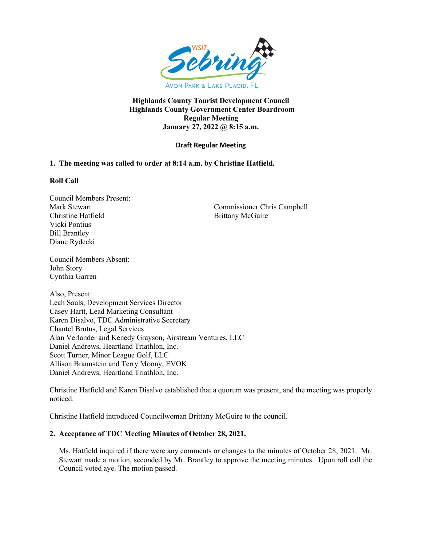

# **Highlands County Tourist Development Council Highlands County Government Center Boardroom Regular Meeting January 27, 2022 @ 8:15 a.m.**

# **Draft Regular Meeting**

# **1. The meeting was called to order at 8:14 a.m. by Christine Hatfield.**

## **Roll Call**

Council Members Present: Christine Hatfield Brittany McGuire Vicki Pontius Bill Brantley Diane Rydecki

Mark Stewart Commissioner Chris Campbell

Council Members Absent: John Story Cynthia Garren

Also, Present: Leah Sauls, Development Services Director Casey Hartt, Lead Marketing Consultant Karen Disalvo, TDC Administrative Secretary Chantel Brutus, Legal Services Alan Verlander and Kenedy Grayson, Airstream Ventures, LLC Daniel Andrews, Heartland Triathlon, Inc. Scott Turner, Minor League Golf, LLC Allison Braunstein and Terry Moony, EVOK Daniel Andrews, Heartland Triathlon, Inc.

Christine Hatfield and Karen Disalvo established that a quorum was present, and the meeting was properly noticed.

Christine Hatfield introduced Councilwoman Brittany McGuire to the council.

# **2. Acceptance of TDC Meeting Minutes of October 28, 2021.**

Ms. Hatfield inquired if there were any comments or changes to the minutes of October 28, 2021. Mr. Stewart made a motion, seconded by Mr. Brantley to approve the meeting minutes. Upon roll call the Council voted aye. The motion passed.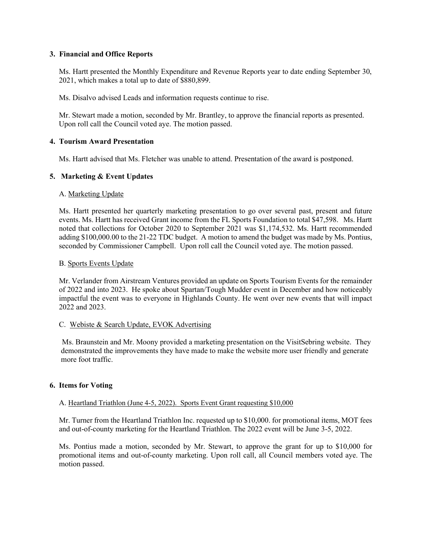## **3. Financial and Office Reports**

Ms. Hartt presented the Monthly Expenditure and Revenue Reports year to date ending September 30, 2021, which makes a total up to date of \$880,899.

Ms. Disalvo advised Leads and information requests continue to rise.

 Mr. Stewart made a motion, seconded by Mr. Brantley, to approve the financial reports as presented. Upon roll call the Council voted aye. The motion passed.

## **4. Tourism Award Presentation**

Ms. Hartt advised that Ms. Fletcher was unable to attend. Presentation of the award is postponed.

# **5. Marketing & Event Updates**

## A. Marketing Update

Ms. Hartt presented her quarterly marketing presentation to go over several past, present and future events. Ms. Hartt has received Grant income from the FL Sports Foundation to total \$47,598. Ms. Hartt noted that collections for October 2020 to September 2021 was \$1,174,532. Ms. Hartt recommended adding \$100,000.00 to the 21-22 TDC budget. A motion to amend the budget was made by Ms. Pontius, seconded by Commissioner Campbell. Upon roll call the Council voted aye. The motion passed.

# B. Sports Events Update

Mr. Verlander from Airstream Ventures provided an update on Sports Tourism Events for the remainder of 2022 and into 2023. He spoke about Spartan/Tough Mudder event in December and how noticeably impactful the event was to everyone in Highlands County. He went over new events that will impact 2022 and 2023.

# C. Webiste & Search Update, EVOK Advertising

 Ms. Braunstein and Mr. Moony provided a marketing presentation on the VisitSebring website. They demonstrated the improvements they have made to make the website more user friendly and generate more foot traffic.

# **6. Items for Voting**

## A. Heartland Triathlon (June 4-5, 2022). Sports Event Grant requesting \$10,000

Mr. Turner from the Heartland Triathlon Inc. requested up to \$10,000. for promotional items, MOT fees and out-of-county marketing for the Heartland Triathlon. The 2022 event will be June 3-5, 2022.

Ms. Pontius made a motion, seconded by Mr. Stewart, to approve the grant for up to \$10,000 for promotional items and out-of-county marketing. Upon roll call, all Council members voted aye. The motion passed.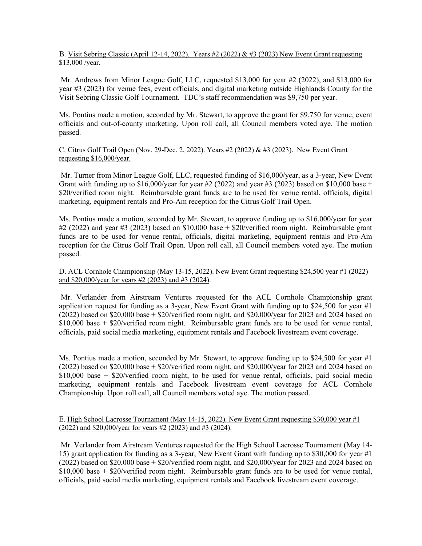# B. Visit Sebring Classic (April 12-14, 2022). Years #2 (2022) & #3 (2023) New Event Grant requesting \$13,000 /year.

 Mr. Andrews from Minor League Golf, LLC, requested \$13,000 for year #2 (2022), and \$13,000 for year #3 (2023) for venue fees, event officials, and digital marketing outside Highlands County for the Visit Sebring Classic Golf Tournament. TDC's staff recommendation was \$9,750 per year.

Ms. Pontius made a motion, seconded by Mr. Stewart, to approve the grant for \$9,750 for venue, event officials and out-of-county marketing. Upon roll call, all Council members voted aye. The motion passed.

# C. Citrus Golf Trail Open (Nov. 29-Dec. 2, 2022). Years #2 (2022) & #3 (2023). New Event Grant requesting \$16,000/year.

Mr. Turner from Minor League Golf, LLC, requested funding of \$16,000/year, as a 3-year, New Event Grant with funding up to \$16,000/year for year #2 (2022) and year #3 (2023) based on \$10,000 base + \$20/verified room night. Reimbursable grant funds are to be used for venue rental, officials, digital marketing, equipment rentals and Pro-Am reception for the Citrus Golf Trail Open.

Ms. Pontius made a motion, seconded by Mr. Stewart, to approve funding up to \$16,000/year for year #2 (2022) and year #3 (2023) based on \$10,000 base + \$20/verified room night. Reimbursable grant funds are to be used for venue rental, officials, digital marketing, equipment rentals and Pro-Am reception for the Citrus Golf Trail Open. Upon roll call, all Council members voted aye. The motion passed.

# D. ACL Cornhole Championship (May 13-15, 2022). New Event Grant requesting \$24,500 year #1 (2022) and \$20,000/year for years #2 (2023) and #3 (2024).

Mr. Verlander from Airstream Ventures requested for the ACL Cornhole Championship grant application request for funding as a 3-year, New Event Grant with funding up to \$24,500 for year #1  $(2022)$  based on \$20,000 base + \$20/verified room night, and \$20,000/year for 2023 and 2024 based on  $$10,000$  base  $+$  \$20/verified room night. Reimbursable grant funds are to be used for venue rental, officials, paid social media marketing, equipment rentals and Facebook livestream event coverage.

Ms. Pontius made a motion, seconded by Mr. Stewart, to approve funding up to \$24,500 for year  $\#1$ (2022) based on \$20,000 base + \$20/verified room night, and \$20,000/year for 2023 and 2024 based on \$10,000 base + \$20/verified room night, to be used for venue rental, officials, paid social media marketing, equipment rentals and Facebook livestream event coverage for ACL Cornhole Championship. Upon roll call, all Council members voted aye. The motion passed.

# E. High School Lacrosse Tournament (May 14-15, 2022). New Event Grant requesting \$30,000 year #1 (2022) and \$20,000/year for years #2 (2023) and #3 (2024).

Mr. Verlander from Airstream Ventures requested for the High School Lacrosse Tournament (May 14- 15) grant application for funding as a 3-year, New Event Grant with funding up to \$30,000 for year #1  $(2022)$  based on \$20,000 base + \$20/verified room night, and \$20,000/year for 2023 and 2024 based on  $$10,000$  base  $+$  \$20/verified room night. Reimbursable grant funds are to be used for venue rental, officials, paid social media marketing, equipment rentals and Facebook livestream event coverage.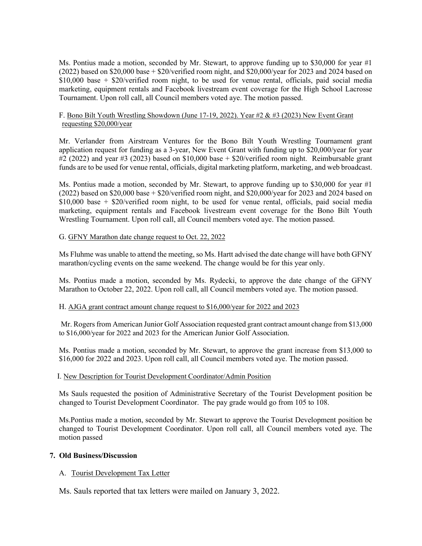Ms. Pontius made a motion, seconded by Mr. Stewart, to approve funding up to \$30,000 for year  $#1$ (2022) based on \$20,000 base + \$20/verified room night, and \$20,000/year for 2023 and 2024 based on  $$10,000$  base +  $$20/$ verified room night, to be used for venue rental, officials, paid social media marketing, equipment rentals and Facebook livestream event coverage for the High School Lacrosse Tournament. Upon roll call, all Council members voted aye. The motion passed.

## F. Bono Bilt Youth Wrestling Showdown (June 17-19, 2022). Year  $#2 \& #3$  (2023) New Event Grant requesting \$20,000/year

Mr. Verlander from Airstream Ventures for the Bono Bilt Youth Wrestling Tournament grant application request for funding as a 3-year, New Event Grant with funding up to \$20,000/year for year  $\#2$  (2022) and year  $\#3$  (2023) based on \$10,000 base + \$20/verified room night. Reimbursable grant funds are to be used for venue rental, officials, digital marketing platform, marketing, and web broadcast.

Ms. Pontius made a motion, seconded by Mr. Stewart, to approve funding up to \$30,000 for year  $#1$ (2022) based on \$20,000 base + \$20/verified room night, and \$20,000/year for 2023 and 2024 based on \$10,000 base + \$20/verified room night, to be used for venue rental, officials, paid social media marketing, equipment rentals and Facebook livestream event coverage for the Bono Bilt Youth Wrestling Tournament. Upon roll call, all Council members voted aye. The motion passed.

## G. GFNY Marathon date change request to Oct. 22, 2022

Ms Fluhme was unable to attend the meeting, so Ms. Hartt advised the date change will have both GFNY marathon/cycling events on the same weekend. The change would be for this year only.

 Ms. Pontius made a motion, seconded by Ms. Rydecki, to approve the date change of the GFNY Marathon to October 22, 2022. Upon roll call, all Council members voted aye. The motion passed.

#### H. AJGA grant contract amount change request to \$16,000/year for 2022 and 2023

Mr. Rogers from American Junior Golf Association requested grant contract amount change from \$13,000 to \$16,000/year for 2022 and 2023 for the American Junior Golf Association.

 Ms. Pontius made a motion, seconded by Mr. Stewart, to approve the grant increase from \$13,000 to \$16,000 for 2022 and 2023. Upon roll call, all Council members voted aye. The motion passed.

#### I. New Description for Tourist Development Coordinator/Admin Position

Ms Sauls requested the position of Administrative Secretary of the Tourist Development position be changed to Tourist Development Coordinator. The pay grade would go from 105 to 108.

 Ms.Pontius made a motion, seconded by Mr. Stewart to approve the Tourist Development position be changed to Tourist Development Coordinator. Upon roll call, all Council members voted aye. The motion passed

## **7. Old Business/Discussion**

# A. Tourist Development Tax Letter

Ms. Sauls reported that tax letters were mailed on January 3, 2022.